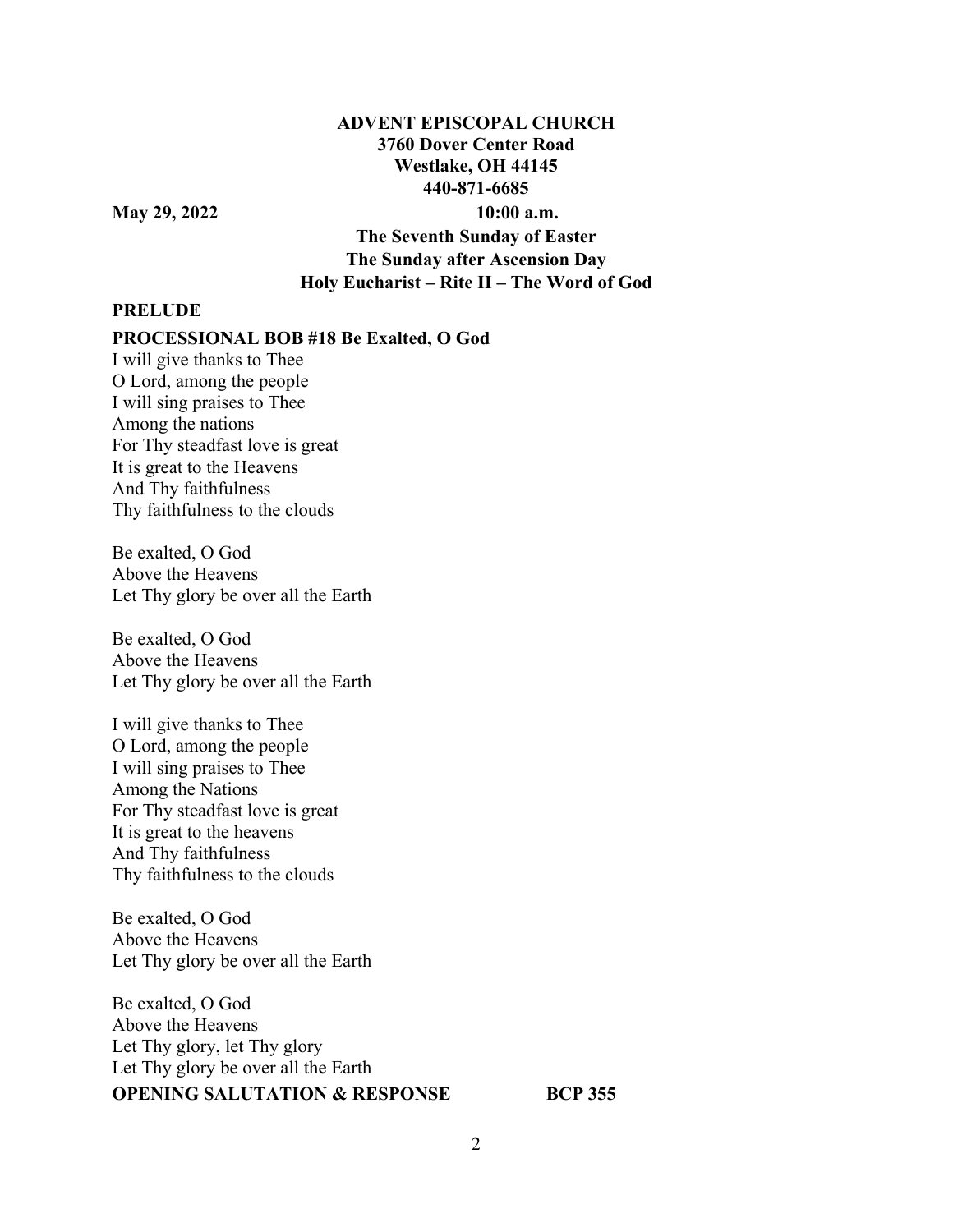## **ADVENT EPISCOPAL CHURCH 3760 Dover Center Road Westlake, OH 44145 440-871-6685**

**May 29, 2022 10:00 a.m.** 

**The Seventh Sunday of Easter The Sunday after Ascension Day Holy Eucharist – Rite II – The Word of God** 

#### **PRELUDE**

**PROCESSIONAL BOB #18 Be Exalted, O God** 

I will give thanks to Thee O Lord, among the people I will sing praises to Thee Among the nations For Thy steadfast love is great It is great to the Heavens And Thy faithfulness Thy faithfulness to the clouds

Be exalted, O God Above the Heavens Let Thy glory be over all the Earth

Be exalted, O God Above the Heavens Let Thy glory be over all the Earth

I will give thanks to Thee O Lord, among the people I will sing praises to Thee Among the Nations For Thy steadfast love is great It is great to the heavens And Thy faithfulness Thy faithfulness to the clouds

Be exalted, O God Above the Heavens Let Thy glory be over all the Earth

Be exalted, O God Above the Heavens Let Thy glory, let Thy glory Let Thy glory be over all the Earth **OPENING SALUTATION & RESPONSE BCP 355**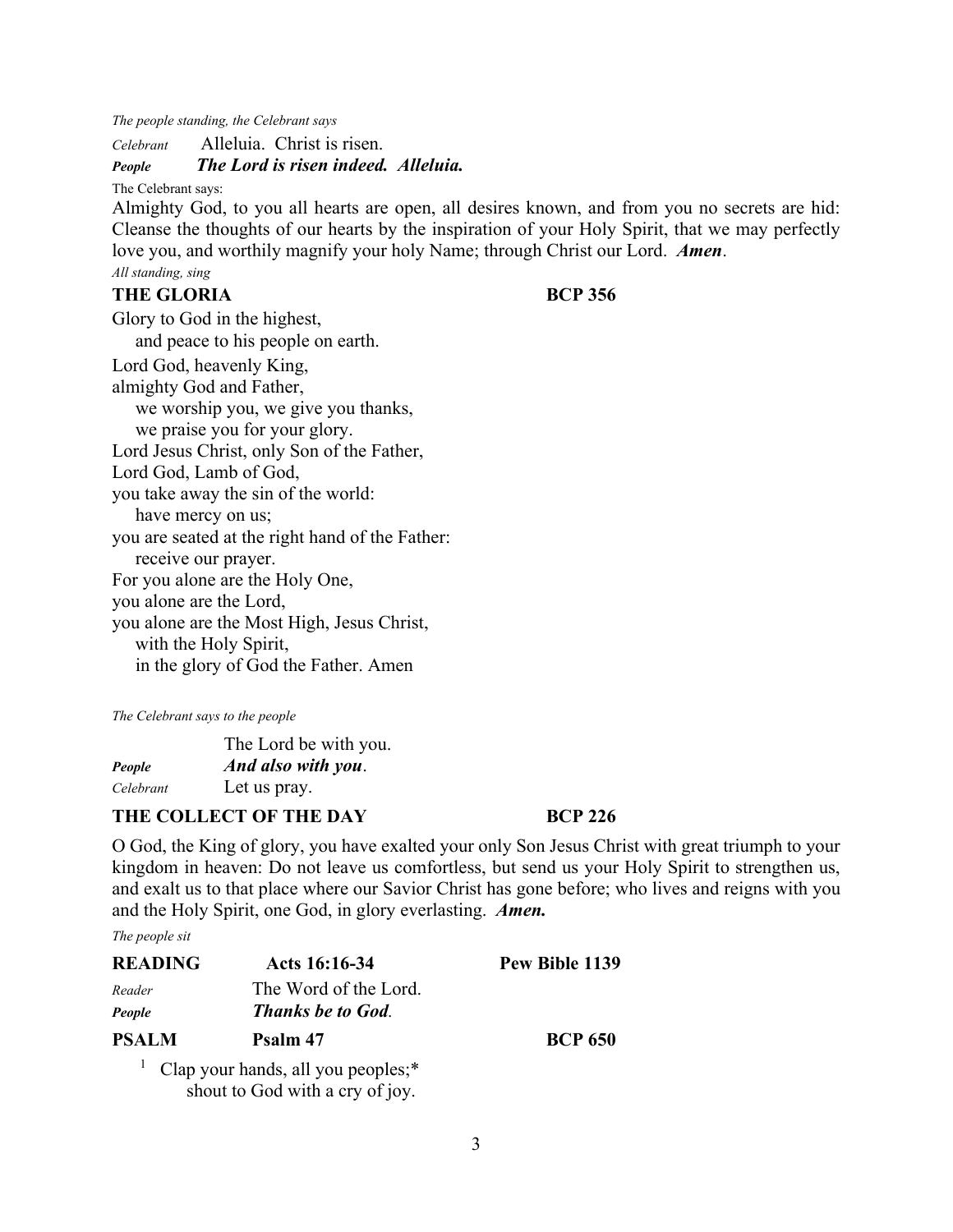*The people standing, the Celebrant says* 

*Celebrant* Alleluia. Christ is risen.

## *People The Lord is risen indeed. Alleluia.*

The Celebrant says:

Almighty God, to you all hearts are open, all desires known, and from you no secrets are hid: Cleanse the thoughts of our hearts by the inspiration of your Holy Spirit, that we may perfectly love you, and worthily magnify your holy Name; through Christ our Lord. *Amen*.

# *All standing, sing*

## **THE GLORIA BCP 356**

Glory to God in the highest, and peace to his people on earth. Lord God, heavenly King, almighty God and Father, we worship you, we give you thanks, we praise you for your glory. Lord Jesus Christ, only Son of the Father, Lord God, Lamb of God, you take away the sin of the world: have mercy on us; you are seated at the right hand of the Father: receive our prayer. For you alone are the Holy One, you alone are the Lord, you alone are the Most High, Jesus Christ, with the Holy Spirit, in the glory of God the Father. Amen

*The Celebrant says to the people* 

 The Lord be with you. *People And also with you*. *Celebrant* Let us pray.

## THE COLLECT OF THE DAY **BCP 226**

O God, the King of glory, you have exalted your only Son Jesus Christ with great triumph to your kingdom in heaven: Do not leave us comfortless, but send us your Holy Spirit to strengthen us, and exalt us to that place where our Savior Christ has gone before; who lives and reigns with you and the Holy Spirit, one God, in glory everlasting. *Amen.*

*The people sit* 

| <b>READING</b> | Acts 16:16-34                                   | Pew Bible 1139 |
|----------------|-------------------------------------------------|----------------|
| Reader         | The Word of the Lord.                           |                |
| People         | <b>Thanks be to God.</b>                        |                |
| <b>PSALM</b>   | Psalm 47                                        | <b>BCP 650</b> |
|                | <sup>1</sup> Clap your hands, all you peoples;* |                |

shout to God with a cry of joy.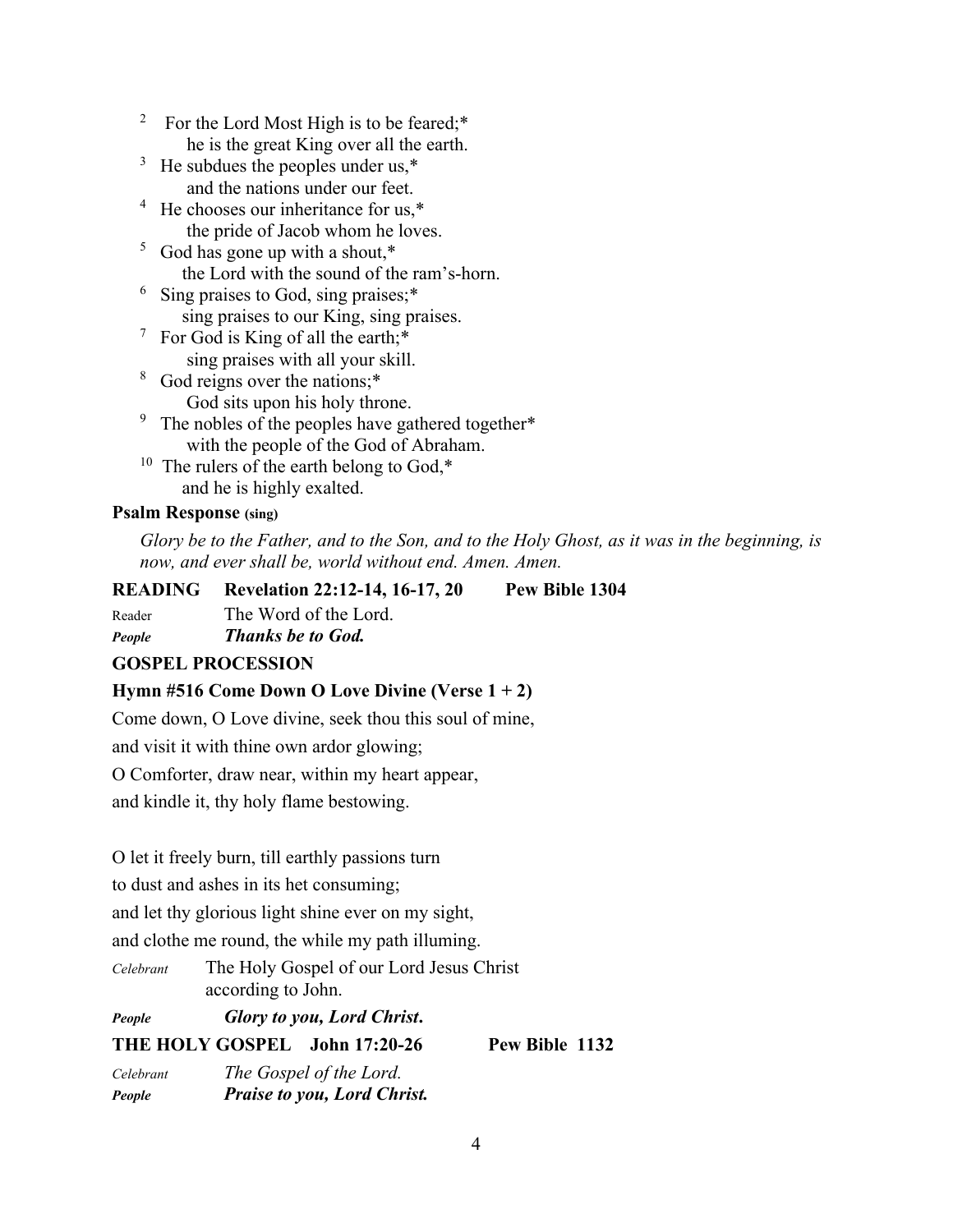- 2 For the Lord Most High is to be feared;\* he is the great King over all the earth.
- $3$  He subdues the peoples under us, $*$ and the nations under our feet.
- <sup>4</sup> He chooses our inheritance for us,\* the pride of Jacob whom he loves.
- <sup>5</sup> God has gone up with a shout,\* the Lord with the sound of the ram's-horn.
- <sup>6</sup> Sing praises to God, sing praises;\* sing praises to our King, sing praises.
- <sup>7</sup> For God is King of all the earth;\* sing praises with all your skill.
- <sup>8</sup> God reigns over the nations;\* God sits upon his holy throne.
- <sup>9</sup> The nobles of the peoples have gathered together\* with the people of the God of Abraham.
- <sup>10</sup> The rulers of the earth belong to God, $*$ and he is highly exalted.

## **Psalm Response (sing)**

*Glory be to the Father, and to the Son, and to the Holy Ghost, as it was in the beginning, is now, and ever shall be, world without end. Amen. Amen.* 

| <b>READING</b> | <b>Revelation 22:12-14, 16-17, 20</b> | Pew Bible 1304 |
|----------------|---------------------------------------|----------------|
| Reader         | The Word of the Lord.                 |                |
| <b>People</b>  | <b>Thanks be to God.</b>              |                |

## **GOSPEL PROCESSION**

## **Hymn #516 Come Down O Love Divine (Verse 1 + 2)**

Come down, O Love divine, seek thou this soul of mine,

and visit it with thine own ardor glowing;

O Comforter, draw near, within my heart appear,

and kindle it, thy holy flame bestowing.

O let it freely burn, till earthly passions turn

to dust and ashes in its het consuming;

and let thy glorious light shine ever on my sight,

and clothe me round, the while my path illuming.

*Celebrant* The Holy Gospel of our Lord Jesus Christ according to John.

*People Glory to you, Lord Christ***.**

**THE HOLY GOSPEL John 17:20-26 Pew Bible 1132** 

*Celebrant The Gospel of the Lord. People Praise to you, Lord Christ.*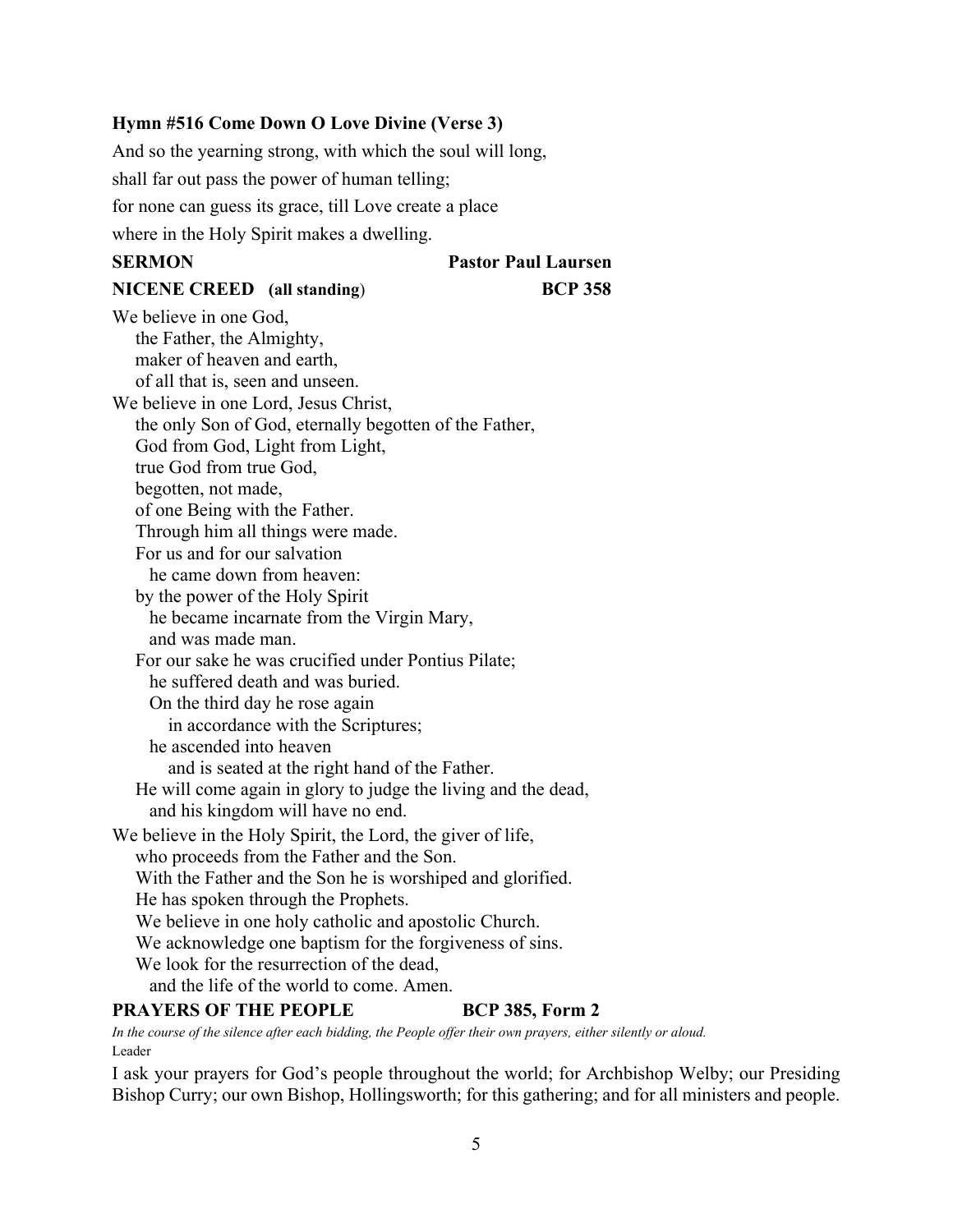### **Hymn #516 Come Down O Love Divine (Verse 3)**

And so the yearning strong, with which the soul will long,

shall far out pass the power of human telling;

for none can guess its grace, till Love create a place

where in the Holy Spirit makes a dwelling.

# **SERMON Pastor Paul Laursen**

## **NICENE CREED (all standing**) **BCP 358**

We believe in one God, the Father, the Almighty, maker of heaven and earth, of all that is, seen and unseen. We believe in one Lord, Jesus Christ, the only Son of God, eternally begotten of the Father, God from God, Light from Light, true God from true God, begotten, not made, of one Being with the Father. Through him all things were made. For us and for our salvation he came down from heaven: by the power of the Holy Spirit he became incarnate from the Virgin Mary, and was made man. For our sake he was crucified under Pontius Pilate; he suffered death and was buried. On the third day he rose again in accordance with the Scriptures; he ascended into heaven and is seated at the right hand of the Father. He will come again in glory to judge the living and the dead, and his kingdom will have no end. We believe in the Holy Spirit, the Lord, the giver of life, who proceeds from the Father and the Son. With the Father and the Son he is worshiped and glorified. He has spoken through the Prophets. We believe in one holy catholic and apostolic Church. We acknowledge one baptism for the forgiveness of sins. We look for the resurrection of the dead, and the life of the world to come. Amen. **PRAYERS OF THE PEOPLE BCP 385, Form 2** 

*In the course of the silence after each bidding, the People offer their own prayers, either silently or aloud.* Leader

I ask your prayers for God's people throughout the world; for Archbishop Welby; our Presiding Bishop Curry; our own Bishop, Hollingsworth; for this gathering; and for all ministers and people.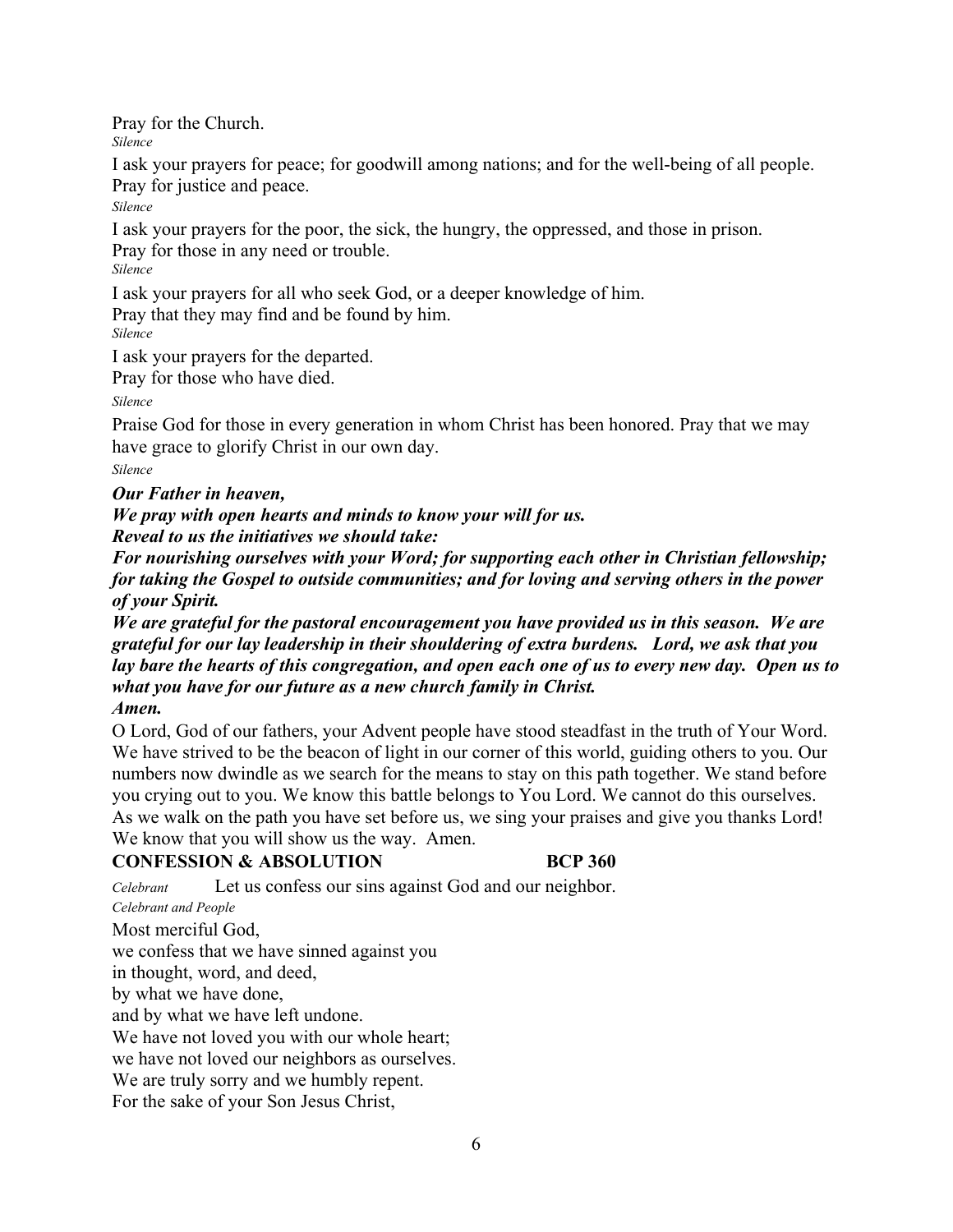Pray for the Church.

*Silence* 

I ask your prayers for peace; for goodwill among nations; and for the well-being of all people. Pray for justice and peace.

*Silence* 

I ask your prayers for the poor, the sick, the hungry, the oppressed, and those in prison. Pray for those in any need or trouble.

*Silence*

I ask your prayers for all who seek God, or a deeper knowledge of him.

Pray that they may find and be found by him.

*Silence*

I ask your prayers for the departed.

Pray for those who have died.

*Silence*

Praise God for those in every generation in whom Christ has been honored. Pray that we may have grace to glorify Christ in our own day.

*Silence* 

*Our Father in heaven,* 

*We pray with open hearts and minds to know your will for us. Reveal to us the initiatives we should take:* 

*For nourishing ourselves with your Word; for supporting each other in Christian fellowship; for taking the Gospel to outside communities; and for loving and serving others in the power of your Spirit.* 

*We are grateful for the pastoral encouragement you have provided us in this season. We are grateful for our lay leadership in their shouldering of extra burdens. Lord, we ask that you lay bare the hearts of this congregation, and open each one of us to every new day. Open us to what you have for our future as a new church family in Christ. Amen.* 

O Lord, God of our fathers, your Advent people have stood steadfast in the truth of Your Word. We have strived to be the beacon of light in our corner of this world, guiding others to you. Our numbers now dwindle as we search for the means to stay on this path together. We stand before you crying out to you. We know this battle belongs to You Lord. We cannot do this ourselves. As we walk on the path you have set before us, we sing your praises and give you thanks Lord! We know that you will show us the way. Amen.

# **CONFESSION & ABSOLUTION BCP 360**

*Celebrant* Let us confess our sins against God and our neighbor.

*Celebrant and People*

Most merciful God,

we confess that we have sinned against you

in thought, word, and deed,

by what we have done,

and by what we have left undone.

We have not loved you with our whole heart;

we have not loved our neighbors as ourselves.

We are truly sorry and we humbly repent.

For the sake of your Son Jesus Christ,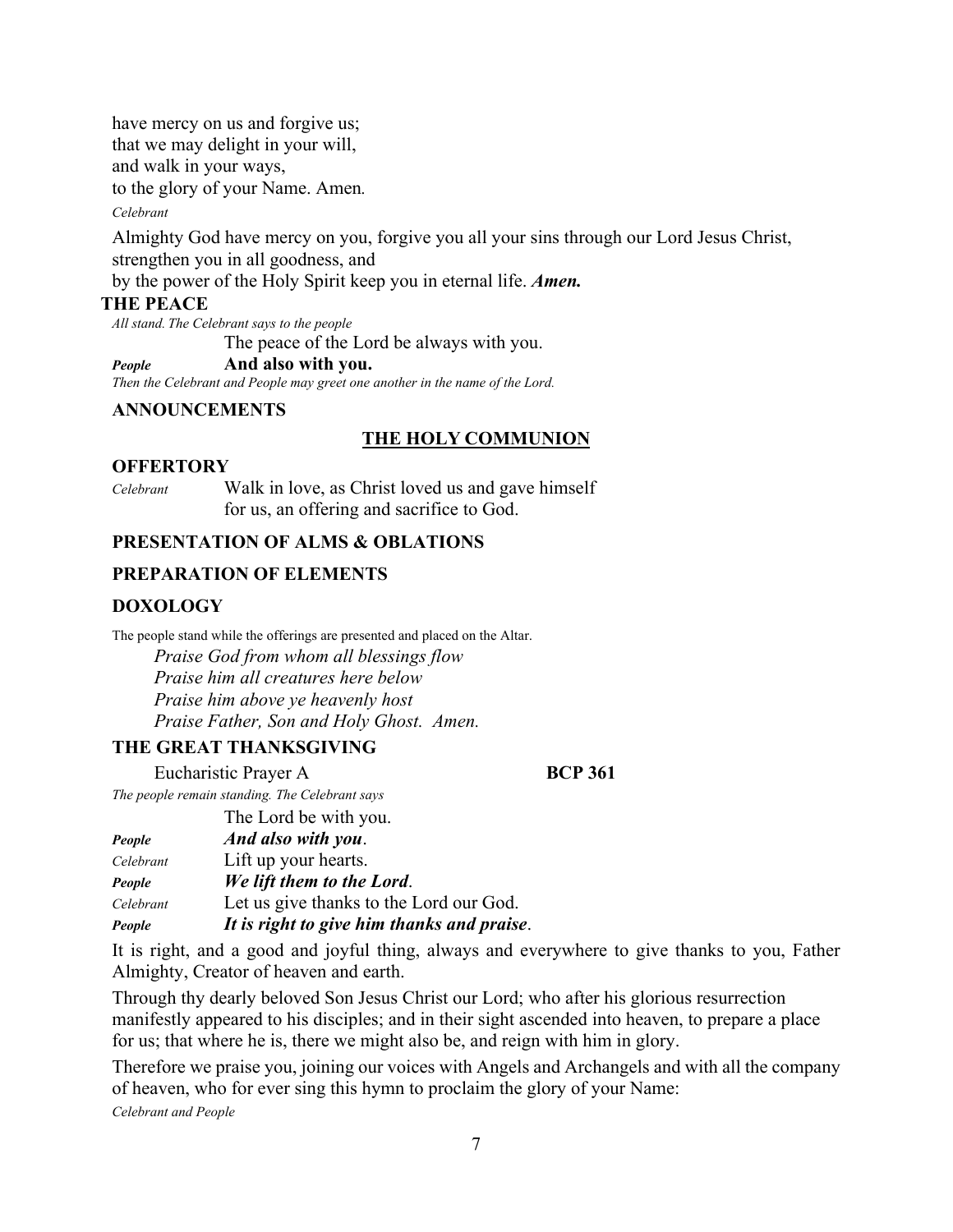have mercy on us and forgive us; that we may delight in your will, and walk in your ways, to the glory of your Name. Amen*.*

#### *Celebrant*

Almighty God have mercy on you, forgive you all your sins through our Lord Jesus Christ, strengthen you in all goodness, and

by the power of the Holy Spirit keep you in eternal life. *Amen.*

### **THE PEACE**

*All stand. The Celebrant says to the people* The peace of the Lord be always with you.

*People* **And also with you.**

*Then the Celebrant and People may greet one another in the name of the Lord.*

### **ANNOUNCEMENTS**

### **THE HOLY COMMUNION**

### **OFFERTORY**

*Celebrant*Walk in love, as Christ loved us and gave himself for us, an offering and sacrifice to God.

### **PRESENTATION OF ALMS & OBLATIONS**

### **PREPARATION OF ELEMENTS**

### **DOXOLOGY**

The people stand while the offerings are presented and placed on the Altar.

 *Praise God from whom all blessings flow Praise him all creatures here below Praise him above ye heavenly host Praise Father, Son and Holy Ghost. Amen.* 

## **THE GREAT THANKSGIVING**

Eucharistic Prayer A **BCP 361** 

*The people remain standing. The Celebrant says* 

|           | The Lord be with you.                      |
|-----------|--------------------------------------------|
| People    | And also with you.                         |
| Celebrant | Lift up your hearts.                       |
| People    | We lift them to the Lord.                  |
| Celebrant | Let us give thanks to the Lord our God.    |
| People    | It is right to give him thanks and praise. |

It is right, and a good and joyful thing, always and everywhere to give thanks to you, Father Almighty, Creator of heaven and earth.

Through thy dearly beloved Son Jesus Christ our Lord; who after his glorious resurrection manifestly appeared to his disciples; and in their sight ascended into heaven, to prepare a place for us; that where he is, there we might also be, and reign with him in glory.

Therefore we praise you, joining our voices with Angels and Archangels and with all the company of heaven, who for ever sing this hymn to proclaim the glory of your Name:

*Celebrant and People*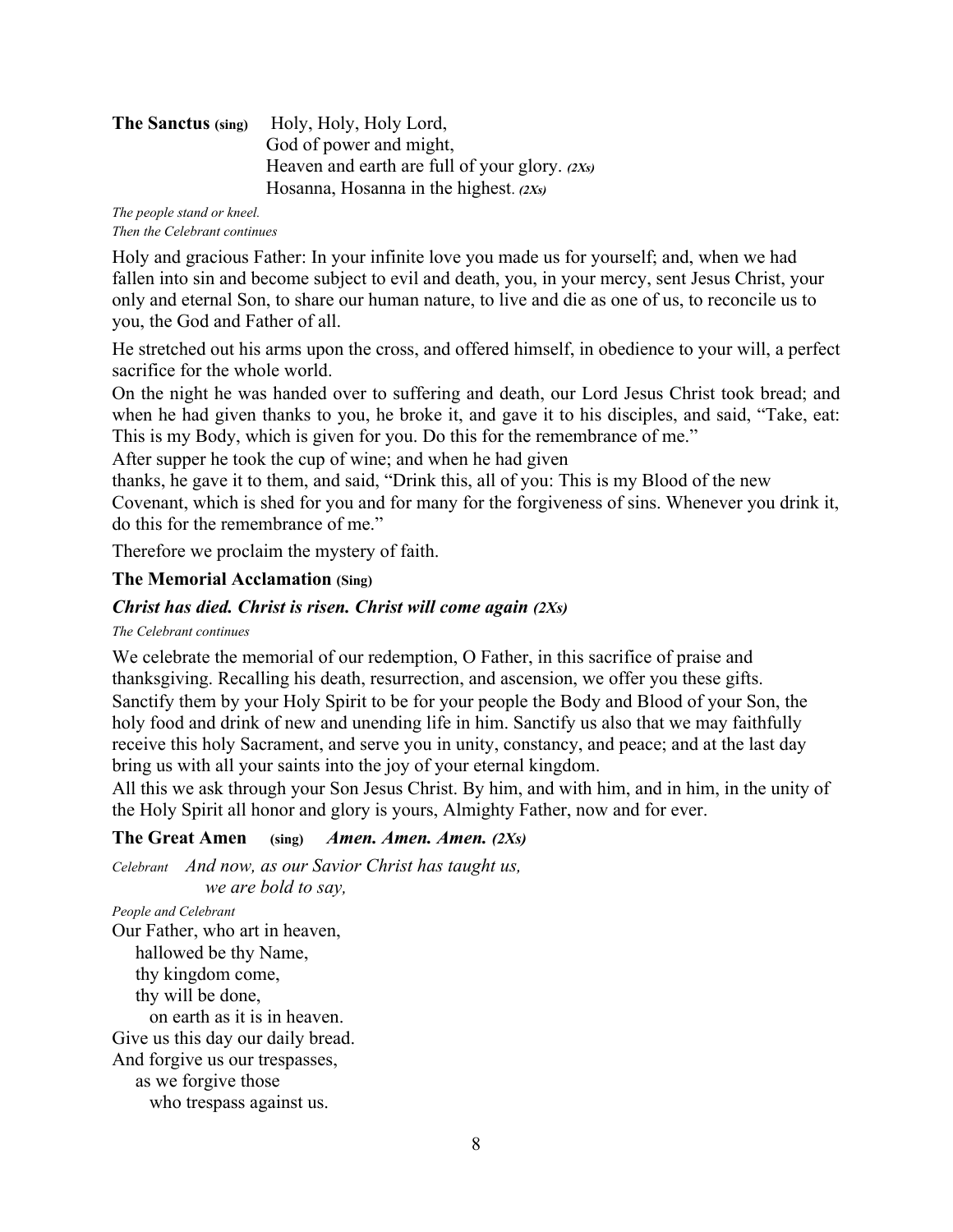| The Sanctus (sing) | Holy, Holy, Holy Lord,                           |
|--------------------|--------------------------------------------------|
|                    | God of power and might,                          |
|                    | Heaven and earth are full of your glory. $(2Xs)$ |
|                    | Hosanna, Hosanna in the highest. $(2Xs)$         |

*The people stand or kneel. Then the Celebrant continues* 

Holy and gracious Father: In your infinite love you made us for yourself; and, when we had fallen into sin and become subject to evil and death, you, in your mercy, sent Jesus Christ, your only and eternal Son, to share our human nature, to live and die as one of us, to reconcile us to you, the God and Father of all.

He stretched out his arms upon the cross, and offered himself, in obedience to your will, a perfect sacrifice for the whole world.

On the night he was handed over to suffering and death, our Lord Jesus Christ took bread; and when he had given thanks to you, he broke it, and gave it to his disciples, and said, "Take, eat: This is my Body, which is given for you. Do this for the remembrance of me."

After supper he took the cup of wine; and when he had given

thanks, he gave it to them, and said, "Drink this, all of you: This is my Blood of the new Covenant, which is shed for you and for many for the forgiveness of sins. Whenever you drink it, do this for the remembrance of me."

Therefore we proclaim the mystery of faith.

## **The Memorial Acclamation (Sing)**

## *Christ has died. Christ is risen. Christ will come again (2Xs)*

### *The Celebrant continues*

We celebrate the memorial of our redemption, O Father, in this sacrifice of praise and thanksgiving. Recalling his death, resurrection, and ascension, we offer you these gifts. Sanctify them by your Holy Spirit to be for your people the Body and Blood of your Son, the holy food and drink of new and unending life in him. Sanctify us also that we may faithfully receive this holy Sacrament, and serve you in unity, constancy, and peace; and at the last day bring us with all your saints into the joy of your eternal kingdom.

All this we ask through your Son Jesus Christ. By him, and with him, and in him, in the unity of the Holy Spirit all honor and glory is yours, Almighty Father, now and for ever.

## **The Great Amen (sing)** *Amen. Amen. Amen. (2Xs)*

*Celebrant And now, as our Savior Christ has taught us, we are bold to say,* 

*People and Celebrant*  Our Father, who art in heaven, hallowed be thy Name, thy kingdom come, thy will be done, on earth as it is in heaven. Give us this day our daily bread. And forgive us our trespasses, as we forgive those who trespass against us.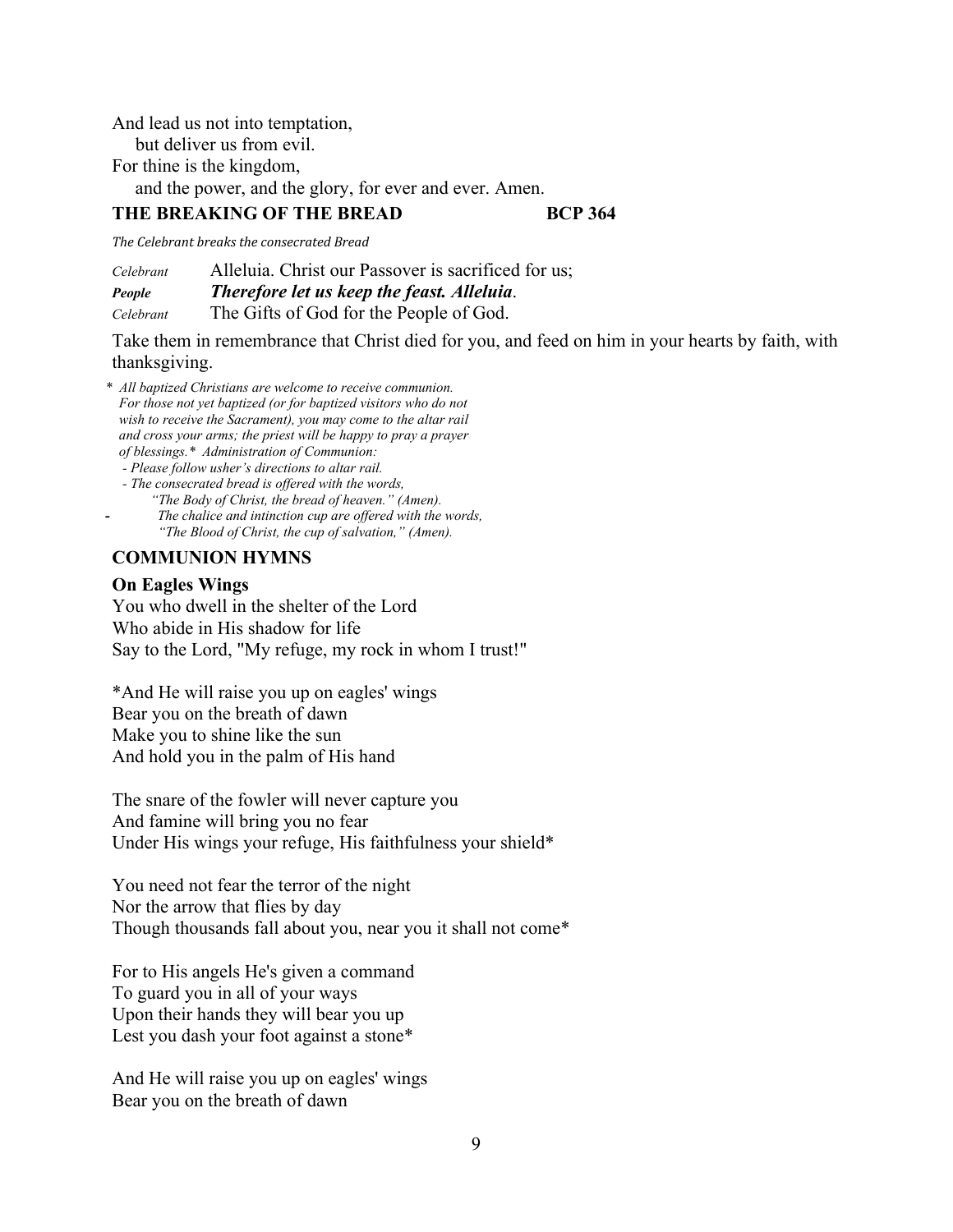And lead us not into temptation,

but deliver us from evil.

For thine is the kingdom,

and the power, and the glory, for ever and ever. Amen.

### **THE BREAKING OF THE BREAD BCP 364**

*The Celebrant breaks the consecrated Bread*

*Celebrant* Alleluia. Christ our Passover is sacrificed for us; *People Therefore let us keep the feast. Alleluia*. *Celebrant* The Gifts of God for the People of God.

Take them in remembrance that Christ died for you, and feed on him in your hearts by faith, with thanksgiving.

- *\* All baptized Christians are welcome to receive communion. For those not yet baptized (or for baptized visitors who do not wish to receive the Sacrament), you may come to the altar rail and cross your arms; the priest will be happy to pray a prayer of blessings.\* Administration of Communion:* 
	- *Please follow usher's directions to altar rail.*
	- *The consecrated bread is offered with the words, "The Body of Christ, the bread of heaven." (Amen). - The chalice and intinction cup are offered with the words, "The Blood of Christ, the cup of salvation," (Amen).*

## **COMMUNION HYMNS**

## **On Eagles Wings**

You who dwell in the shelter of the Lord Who abide in His shadow for life Say to the Lord, "My refuge, my rock in whom I trust!"

\*And He will raise you up on eagles' wings Bear you on the breath of dawn Make you to shine like the sun And hold you in the palm of His hand

The snare of the fowler will never capture you And famine will bring you no fear Under His wings your refuge, His faithfulness your shield\*

You need not fear the terror of the night Nor the arrow that flies by day Though thousands fall about you, near you it shall not come\*

For to His angels He's given a command To guard you in all of your ways Upon their hands they will bear you up Lest you dash your foot against a stone\*

And He will raise you up on eagles' wings Bear you on the breath of dawn